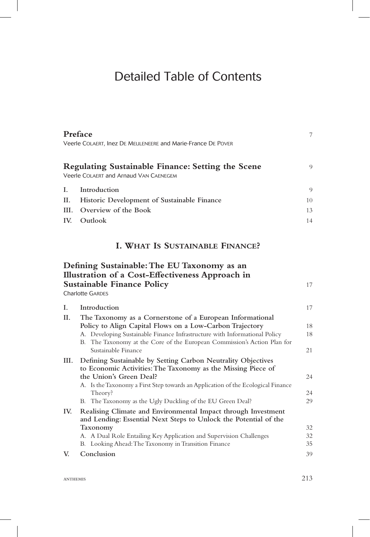## Detailed Table of Contents

|     | Preface<br>Veerle COLAERT, Inez DE MEULENEERE and Marie-France DE POVER                                          |    |
|-----|------------------------------------------------------------------------------------------------------------------|----|
|     | <b>Regulating Sustainable Finance: Setting the Scene</b><br>Veerle COLAERT and Arnaud VAN CAENEGEM               | 9  |
| L.  | Introduction                                                                                                     | 9  |
| Н.  | Historic Development of Sustainable Finance                                                                      | 10 |
|     | III. Overview of the Book                                                                                        | 13 |
| IV. | Outlook                                                                                                          | 14 |
|     | I. WHAT IS SUSTAINABLE FINANCE?                                                                                  |    |
|     | Defining Sustainable: The EU Taxonomy as an                                                                      |    |
|     | Illustration of a Cost-Effectiveness Approach in<br><b>Sustainable Finance Policy</b><br><b>Charlotte GARDES</b> | 17 |
| I.  | Introduction                                                                                                     | 17 |
| Н.  | The Taxonomy as a Cornerstone of a European Informational                                                        |    |
|     | Policy to Align Capital Flows on a Low-Carbon Trajectory                                                         | 18 |
|     | A. Developing Sustainable Finance Infrastructure with Informational Policy                                       | 18 |
|     | B. The Taxonomy at the Core of the European Commission's Action Plan for                                         |    |

|     | Sustainable Finance                                                                                                               | 21 |
|-----|-----------------------------------------------------------------------------------------------------------------------------------|----|
| Ш.  | Defining Sustainable by Setting Carbon Neutrality Objectives<br>to Economic Activities: The Taxonomy as the Missing Piece of      |    |
|     | the Union's Green Deal?                                                                                                           | 24 |
|     | A. Is the Taxonomy a First Step towards an Application of the Ecological Finance                                                  |    |
|     | Theory?                                                                                                                           | 24 |
|     | B. The Taxonomy as the Ugly Duckling of the EU Green Deal?                                                                        | 29 |
| IV. | Realising Climate and Environmental Impact through Investment<br>and Lending: Essential Next Steps to Unlock the Potential of the |    |
|     | Taxonomy                                                                                                                          | 32 |
|     | A. A Dual Role Entailing Key Application and Supervision Challenges                                                               | 32 |
|     | B. Looking Ahead: The Taxonomy in Transition Finance                                                                              | 35 |
| V.  | Conclusion                                                                                                                        | 39 |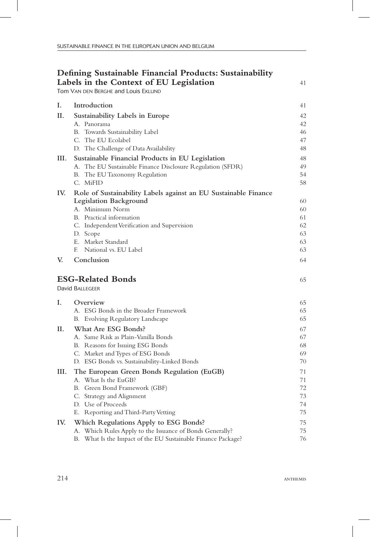| Defining Sustainable Financial Products: Sustainability |                                                                 |          |
|---------------------------------------------------------|-----------------------------------------------------------------|----------|
|                                                         | Labels in the Context of EU Legislation                         | 41       |
| Tom VAN DEN BERGHE and Louis EKLUND                     |                                                                 |          |
| Ι.                                                      | Introduction                                                    | 41       |
| П.                                                      | Sustainability Labels in Europe                                 | 42       |
|                                                         | A. Panorama                                                     | 42       |
|                                                         | B. Towards Sustainability Label                                 | 46       |
|                                                         | C. The EU Ecolabel                                              | 47       |
|                                                         | D. The Challenge of Data Availability                           | 48       |
| III.                                                    | Sustainable Financial Products in EU Legislation                | 48       |
|                                                         | A. The EU Sustainable Finance Disclosure Regulation (SFDR)      | 49       |
|                                                         | The EU Taxonomy Regulation<br>В.                                | 54       |
|                                                         | C. MiFID                                                        | 58       |
| IV.                                                     | Role of Sustainability Labels against an EU Sustainable Finance |          |
|                                                         | Legislation Background                                          | 60       |
|                                                         | A. Minimum Norm                                                 | 60       |
|                                                         | B. Practical information                                        | 61       |
|                                                         | C. Independent Verification and Supervision                     | 62       |
|                                                         | D. Scope<br>E. Market Standard                                  | 63<br>63 |
|                                                         | National vs. EU Label<br>E                                      | 63       |
| V.                                                      | Conclusion                                                      | 64       |
|                                                         |                                                                 |          |
|                                                         | <b>ESG-Related Bonds</b>                                        | 65       |
|                                                         | <b>David BALLEGEER</b>                                          |          |
| I.                                                      | Overview                                                        | 65       |
|                                                         | A. ESG Bonds in the Broader Framework                           | 65       |
|                                                         | B. Evolving Regulatory Landscape                                | 65       |
| П.                                                      | What Are ESG Bonds?                                             | 67       |
|                                                         | A. Same Risk as Plain-Vanilla Bonds                             | 67       |
|                                                         | B. Reasons for Issuing ESG Bonds                                | 68       |
|                                                         | C. Market and Types of ESG Bonds                                | 69       |
|                                                         | D. ESG Bonds vs. Sustainability-Linked Bonds                    | 70       |
| Ш.                                                      | The European Green Bonds Regulation (EuGB)                      | 71       |
|                                                         | A. What Is the EuGB?                                            | 71       |
|                                                         | B. Green Bond Framework (GBF)                                   | 72       |
|                                                         | C. Strategy and Alignment                                       | 73       |
|                                                         | D. Use of Proceeds                                              | 74       |
|                                                         | E. Reporting and Third-Party Vetting                            | 75       |
| IV.                                                     | Which Regulations Apply to ESG Bonds?                           | 75       |
|                                                         | A. Which Rules Apply to the Issuance of Bonds Generally?        | 75       |
|                                                         | B. What Is the Impact of the EU Sustainable Finance Package?    | 76       |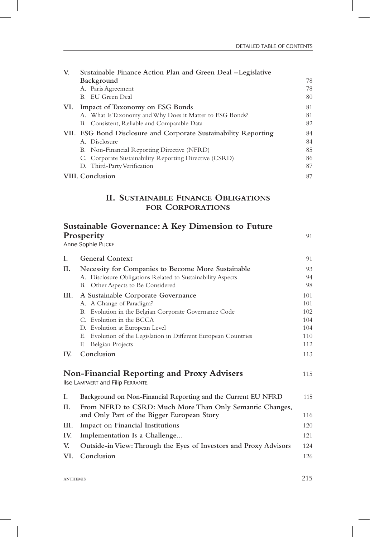| V.  | Sustainable Finance Action Plan and Green Deal – Legislative    |    |
|-----|-----------------------------------------------------------------|----|
|     | Background                                                      | 78 |
|     | A. Paris Agreement                                              | 78 |
|     | B. EU Green Deal                                                | 80 |
| VI. | Impact of Taxonomy on ESG Bonds                                 | 81 |
|     | A. What Is Taxonomy and Why Does it Matter to ESG Bonds?        | 81 |
|     | B. Consistent, Reliable and Comparable Data                     | 82 |
|     | VII. ESG Bond Disclosure and Corporate Sustainability Reporting | 84 |
|     | A. Disclosure                                                   | 84 |
|     | B. Non-Financial Reporting Directive (NFRD)                     | 85 |
|     | C. Corporate Sustainability Reporting Directive (CSRD)          | 86 |
|     | D. Third-Party Verification                                     | 87 |
|     | VIII. Conclusion                                                | 87 |

## **II. Sustainable Finance Obligations for Corporations**

| <b>Sustainable Governance: A Key Dimension to Future</b><br>Prosperity<br>Anne Sophie PIJCKE |                                                                                                        | 91  |
|----------------------------------------------------------------------------------------------|--------------------------------------------------------------------------------------------------------|-----|
| L.                                                                                           | <b>General Context</b>                                                                                 | 91  |
| П.                                                                                           | Necessity for Companies to Become More Sustainable                                                     | 93  |
|                                                                                              | A. Disclosure Obligations Related to Sustainability Aspects                                            | 94  |
|                                                                                              | B. Other Aspects to Be Considered                                                                      | 98  |
| III.                                                                                         | A Sustainable Corporate Governance                                                                     | 101 |
|                                                                                              | A. A Change of Paradigm?                                                                               | 101 |
|                                                                                              | B. Evolution in the Belgian Corporate Governance Code                                                  | 102 |
|                                                                                              | C. Evolution in the BCCA                                                                               | 104 |
|                                                                                              | D. Evolution at European Level                                                                         | 104 |
|                                                                                              | E. Evolution of the Legislation in Different European Countries                                        | 110 |
|                                                                                              | <b>Belgian Projects</b><br>F.                                                                          | 112 |
| IV.                                                                                          | Conclusion                                                                                             | 113 |
|                                                                                              | <b>Non-Financial Reporting and Proxy Advisers</b><br>Ilse LAMPAERT and Filip FERRANTE                  | 115 |
| L                                                                                            | Background on Non-Financial Reporting and the Current EU NFRD                                          | 115 |
| II.                                                                                          | From NFRD to CSRD: Much More Than Only Semantic Changes,<br>and Only Part of the Bigger European Story | 116 |
| III.                                                                                         | Impact on Financial Institutions                                                                       | 120 |
| IV.                                                                                          | Implementation Is a Challenge                                                                          | 121 |
| V.                                                                                           | Outside-in View: Through the Eyes of Investors and Proxy Advisors                                      | 124 |
| VI.                                                                                          | Conclusion                                                                                             | 126 |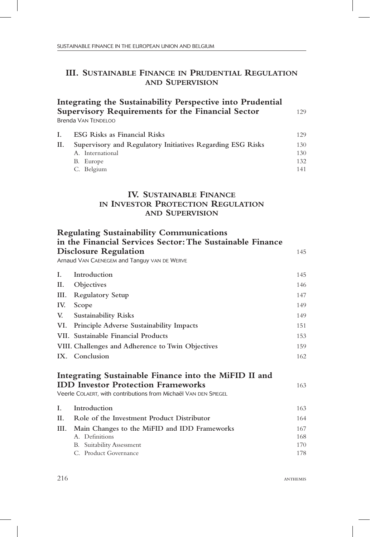## **III. Sustainable Finance in Prudential Regulation and Supervision**

|    | Integrating the Sustainability Perspective into Prudential<br><b>Supervisory Requirements for the Financial Sector</b> | 129 |
|----|------------------------------------------------------------------------------------------------------------------------|-----|
|    | <b>Brenda VAN TENDELOO</b>                                                                                             |     |
| L. | <b>ESG Risks as Financial Risks</b>                                                                                    | 129 |
| П. | Supervisory and Regulatory Initiatives Regarding ESG Risks                                                             | 130 |
|    | A. International                                                                                                       | 130 |
|    | B. Europe                                                                                                              | 132 |
|    | C. Belgium                                                                                                             | 141 |

## **IV. Sustainable Finance in Investor Protection Regulation and Supervision**

|     | <b>Regulating Sustainability Communications</b><br>in the Financial Services Sector: The Sustainable Finance |     |
|-----|--------------------------------------------------------------------------------------------------------------|-----|
|     | <b>Disclosure Regulation</b>                                                                                 | 145 |
|     | Arnaud VAN CAENEGEM and Tanguy VAN DE WERVE                                                                  |     |
| L.  | Introduction                                                                                                 | 145 |
| II. | Objectives                                                                                                   | 146 |
|     | III. Regulatory Setup                                                                                        | 147 |
| IV. | Scope                                                                                                        | 149 |
| V.  | <b>Sustainability Risks</b>                                                                                  | 149 |
| VI. | <b>Principle Adverse Sustainability Impacts</b>                                                              | 151 |
|     | VII. Sustainable Financial Products                                                                          | 153 |
|     | VIII. Challenges and Adherence to Twin Objectives                                                            | 159 |
|     | IX. Conclusion                                                                                               | 162 |
|     | Integrating Sustainable Finance into the MiFID II and                                                        |     |
|     | <b>IDD Investor Protection Frameworks</b>                                                                    | 163 |
|     | Veerle COLAERT, with contributions from Michaël VAN DEN SPIEGEL                                              |     |
| L   | Introduction                                                                                                 | 163 |
| II. | Role of the Investment Product Distributor                                                                   | 164 |
|     | III. Main Changes to the MiFID and IDD Frameworks                                                            | 167 |
|     | A. Definitions                                                                                               | 168 |
|     | <b>B.</b> Suitability Assessment                                                                             | 170 |
|     | C. Product Governance                                                                                        | 178 |